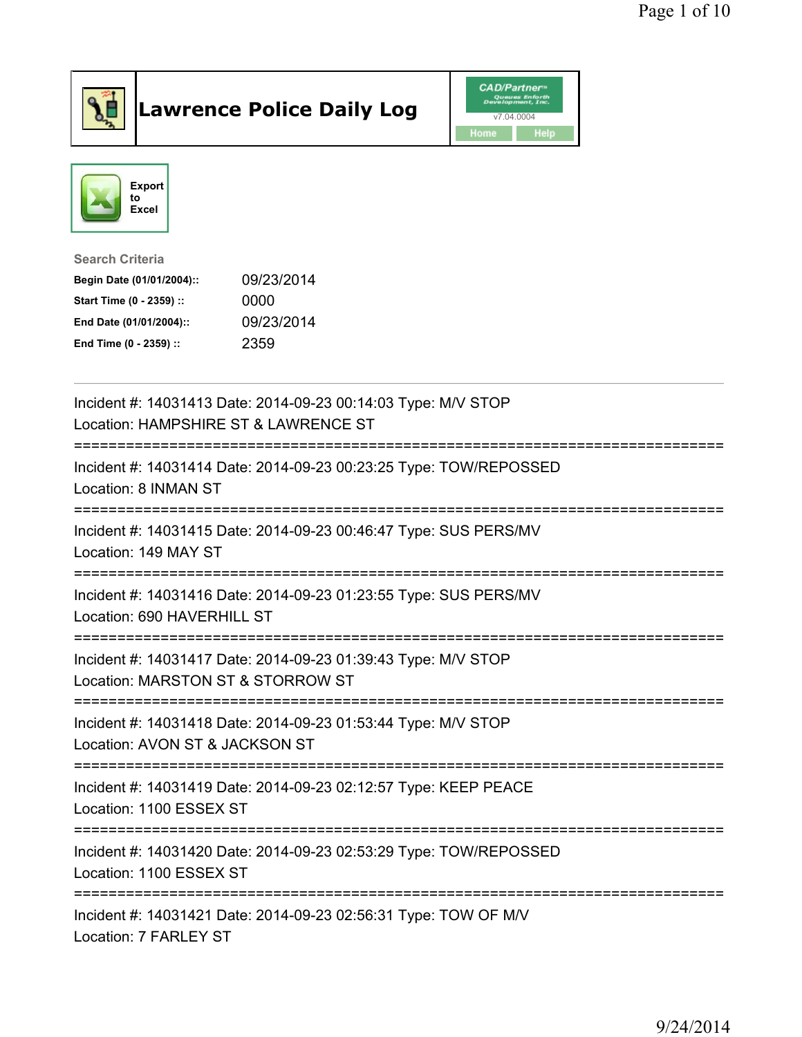

## Lawrence Police Daily Log **Daniel CAD/Partner**





## Search Criteria Begin Date (01/01/2004):: 09/23/2014

| Start Time (0 - 2359) :: | 0000       |
|--------------------------|------------|
| End Date (01/01/2004)::  | 09/23/2014 |
| End Time (0 - 2359) ::   | 2359       |

| Incident #: 14031413 Date: 2014-09-23 00:14:03 Type: M/V STOP<br>Location: HAMPSHIRE ST & LAWRENCE ST                               |
|-------------------------------------------------------------------------------------------------------------------------------------|
| Incident #: 14031414 Date: 2014-09-23 00:23:25 Type: TOW/REPOSSED<br>Location: 8 INMAN ST                                           |
| Incident #: 14031415 Date: 2014-09-23 00:46:47 Type: SUS PERS/MV<br>Location: 149 MAY ST                                            |
| Incident #: 14031416 Date: 2014-09-23 01:23:55 Type: SUS PERS/MV<br>Location: 690 HAVERHILL ST                                      |
| Incident #: 14031417 Date: 2014-09-23 01:39:43 Type: M/V STOP<br>Location: MARSTON ST & STORROW ST<br>----------------------------- |
| Incident #: 14031418 Date: 2014-09-23 01:53:44 Type: M/V STOP<br>Location: AVON ST & JACKSON ST                                     |
| Incident #: 14031419 Date: 2014-09-23 02:12:57 Type: KEEP PEACE<br>Location: 1100 ESSEX ST                                          |
| Incident #: 14031420 Date: 2014-09-23 02:53:29 Type: TOW/REPOSSED<br>Location: 1100 ESSEX ST                                        |
| Incident #: 14031421 Date: 2014-09-23 02:56:31 Type: TOW OF M/V<br>Location: 7 FARLEY ST                                            |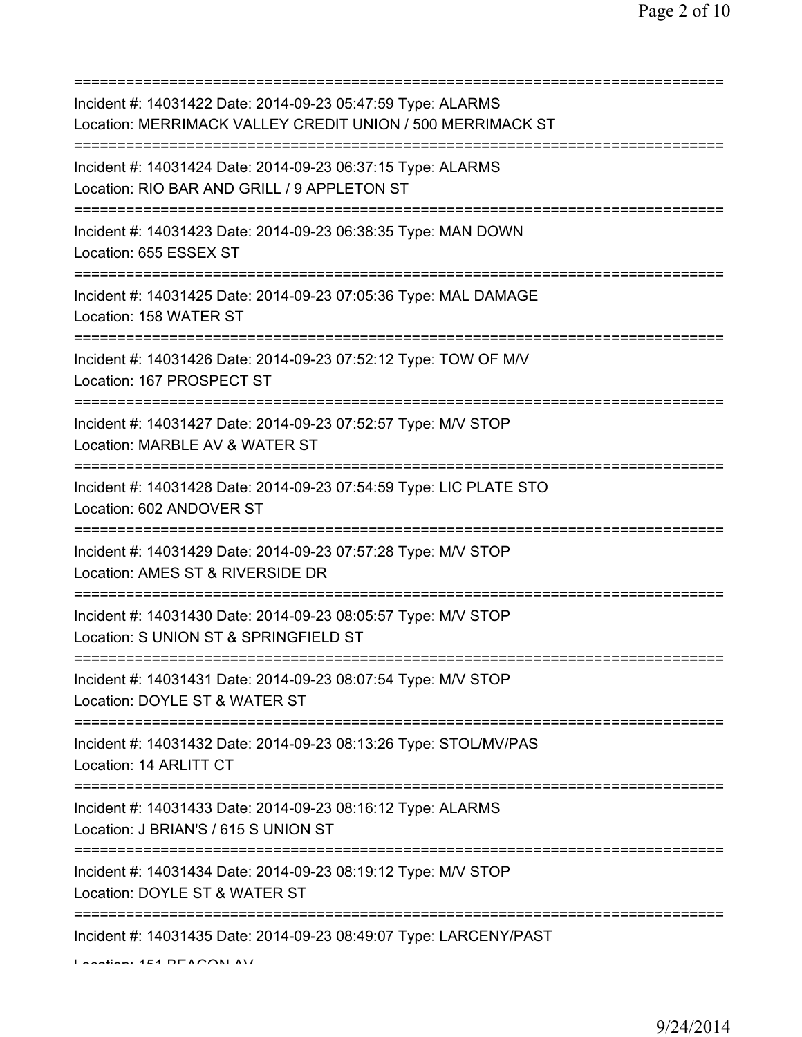=========================================================================== Incident #: 14031422 Date: 2014-09-23 05:47:59 Type: ALARMS Location: MERRIMACK VALLEY CREDIT UNION / 500 MERRIMACK ST =========================================================================== Incident #: 14031424 Date: 2014-09-23 06:37:15 Type: ALARMS Location: RIO BAR AND GRILL / 9 APPLETON ST =========================================================================== Incident #: 14031423 Date: 2014-09-23 06:38:35 Type: MAN DOWN Location: 655 ESSEX ST =========================================================================== Incident #: 14031425 Date: 2014-09-23 07:05:36 Type: MAL DAMAGE Location: 158 WATER ST =========================================================================== Incident #: 14031426 Date: 2014-09-23 07:52:12 Type: TOW OF M/V Location: 167 PROSPECT ST =========================================================================== Incident #: 14031427 Date: 2014-09-23 07:52:57 Type: M/V STOP Location: MARBLE AV & WATER ST =========================================================================== Incident #: 14031428 Date: 2014-09-23 07:54:59 Type: LIC PLATE STO Location: 602 ANDOVER ST =========================================================================== Incident #: 14031429 Date: 2014-09-23 07:57:28 Type: M/V STOP Location: AMES ST & RIVERSIDE DR =========================================================================== Incident #: 14031430 Date: 2014-09-23 08:05:57 Type: M/V STOP Location: S UNION ST & SPRINGFIELD ST =========================================================================== Incident #: 14031431 Date: 2014-09-23 08:07:54 Type: M/V STOP Location: DOYLE ST & WATER ST =========================================================================== Incident #: 14031432 Date: 2014-09-23 08:13:26 Type: STOL/MV/PAS Location: 14 ARLITT CT =========================================================================== Incident #: 14031433 Date: 2014-09-23 08:16:12 Type: ALARMS Location: J BRIAN'S / 615 S UNION ST =========================================================================== Incident #: 14031434 Date: 2014-09-23 08:19:12 Type: M/V STOP Location: DOYLE ST & WATER ST =========================================================================== Incident #: 14031435 Date: 2014-09-23 08:49:07 Type: LARCENY/PAST  $L$ ocation:  $4E4$  BEACON AV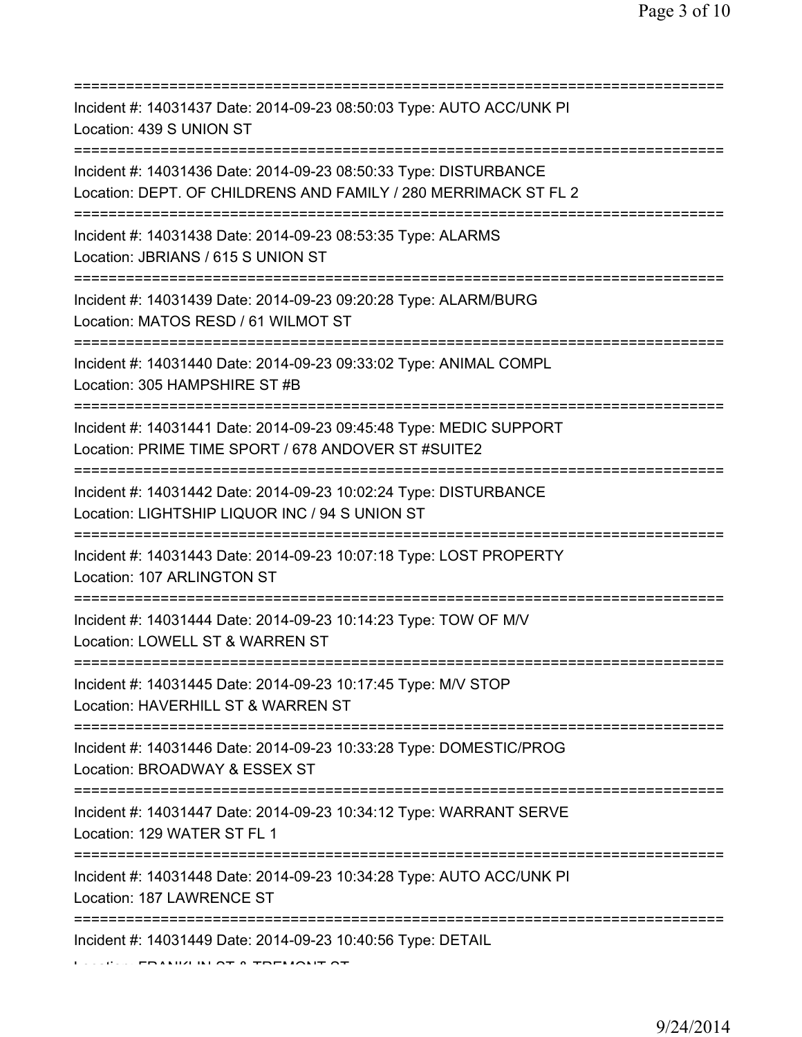| Incident #: 14031437 Date: 2014-09-23 08:50:03 Type: AUTO ACC/UNK PI<br>Location: 439 S UNION ST<br>====================================== |
|--------------------------------------------------------------------------------------------------------------------------------------------|
| Incident #: 14031436 Date: 2014-09-23 08:50:33 Type: DISTURBANCE<br>Location: DEPT. OF CHILDRENS AND FAMILY / 280 MERRIMACK ST FL 2        |
| Incident #: 14031438 Date: 2014-09-23 08:53:35 Type: ALARMS<br>Location: JBRIANS / 615 S UNION ST<br>===========================           |
| Incident #: 14031439 Date: 2014-09-23 09:20:28 Type: ALARM/BURG<br>Location: MATOS RESD / 61 WILMOT ST                                     |
| Incident #: 14031440 Date: 2014-09-23 09:33:02 Type: ANIMAL COMPL<br>Location: 305 HAMPSHIRE ST #B                                         |
| Incident #: 14031441 Date: 2014-09-23 09:45:48 Type: MEDIC SUPPORT<br>Location: PRIME TIME SPORT / 678 ANDOVER ST #SUITE2                  |
| Incident #: 14031442 Date: 2014-09-23 10:02:24 Type: DISTURBANCE<br>Location: LIGHTSHIP LIQUOR INC / 94 S UNION ST                         |
| Incident #: 14031443 Date: 2014-09-23 10:07:18 Type: LOST PROPERTY<br>Location: 107 ARLINGTON ST<br>==============                         |
| Incident #: 14031444 Date: 2014-09-23 10:14:23 Type: TOW OF M/V<br>Location: LOWELL ST & WARREN ST                                         |
| Incident #: 14031445 Date: 2014-09-23 10:17:45 Type: M/V STOP<br>Location: HAVERHILL ST & WARREN ST                                        |
| Incident #: 14031446 Date: 2014-09-23 10:33:28 Type: DOMESTIC/PROG<br>Location: BROADWAY & ESSEX ST                                        |
| Incident #: 14031447 Date: 2014-09-23 10:34:12 Type: WARRANT SERVE<br>Location: 129 WATER ST FL 1                                          |
| =====================================<br>Incident #: 14031448 Date: 2014-09-23 10:34:28 Type: AUTO ACC/UNK PI<br>Location: 187 LAWRENCE ST |
| ==============================<br>Incident #: 14031449 Date: 2014-09-23 10:40:56 Type: DETAIL                                              |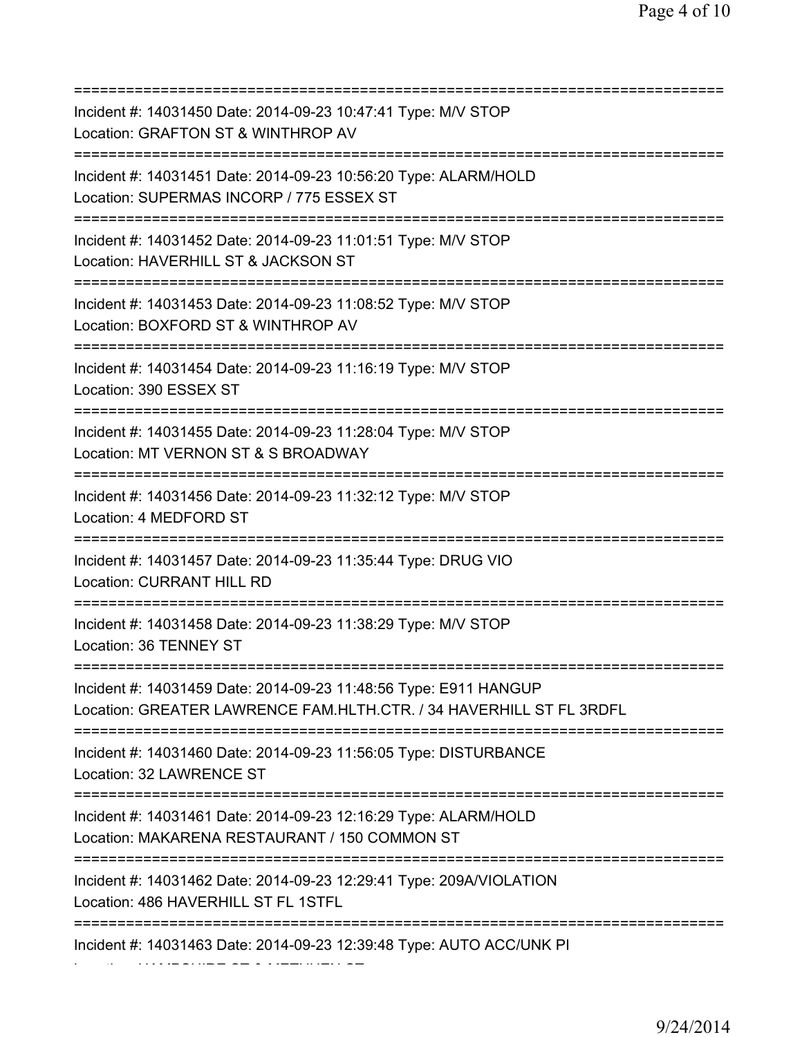| Incident #: 14031450 Date: 2014-09-23 10:47:41 Type: M/V STOP<br>Location: GRAFTON ST & WINTHROP AV                                           |
|-----------------------------------------------------------------------------------------------------------------------------------------------|
| ======================<br>Incident #: 14031451 Date: 2014-09-23 10:56:20 Type: ALARM/HOLD<br>Location: SUPERMAS INCORP / 775 ESSEX ST         |
| Incident #: 14031452 Date: 2014-09-23 11:01:51 Type: M/V STOP<br>Location: HAVERHILL ST & JACKSON ST<br>===================================== |
| Incident #: 14031453 Date: 2014-09-23 11:08:52 Type: M/V STOP<br>Location: BOXFORD ST & WINTHROP AV<br>====================================== |
| Incident #: 14031454 Date: 2014-09-23 11:16:19 Type: M/V STOP<br>Location: 390 ESSEX ST                                                       |
| Incident #: 14031455 Date: 2014-09-23 11:28:04 Type: M/V STOP<br>Location: MT VERNON ST & S BROADWAY                                          |
| Incident #: 14031456 Date: 2014-09-23 11:32:12 Type: M/V STOP<br>Location: 4 MEDFORD ST                                                       |
| Incident #: 14031457 Date: 2014-09-23 11:35:44 Type: DRUG VIO<br>Location: CURRANT HILL RD                                                    |
| Incident #: 14031458 Date: 2014-09-23 11:38:29 Type: M/V STOP<br>Location: 36 TENNEY ST                                                       |
| Incident #: 14031459 Date: 2014-09-23 11:48:56 Type: E911 HANGUP<br>Location: GREATER LAWRENCE FAM.HLTH.CTR. / 34 HAVERHILL ST FL 3RDFL       |
| Incident #: 14031460 Date: 2014-09-23 11:56:05 Type: DISTURBANCE<br>Location: 32 LAWRENCE ST                                                  |
| :==========:<br>Incident #: 14031461 Date: 2014-09-23 12:16:29 Type: ALARM/HOLD<br>Location: MAKARENA RESTAURANT / 150 COMMON ST              |
| Incident #: 14031462 Date: 2014-09-23 12:29:41 Type: 209A/VIOLATION<br>Location: 486 HAVERHILL ST FL 1STFL                                    |
| Incident #: 14031463 Date: 2014-09-23 12:39:48 Type: AUTO ACC/UNK PI                                                                          |

Location: HAMPSHIRE ST & METHUEN ST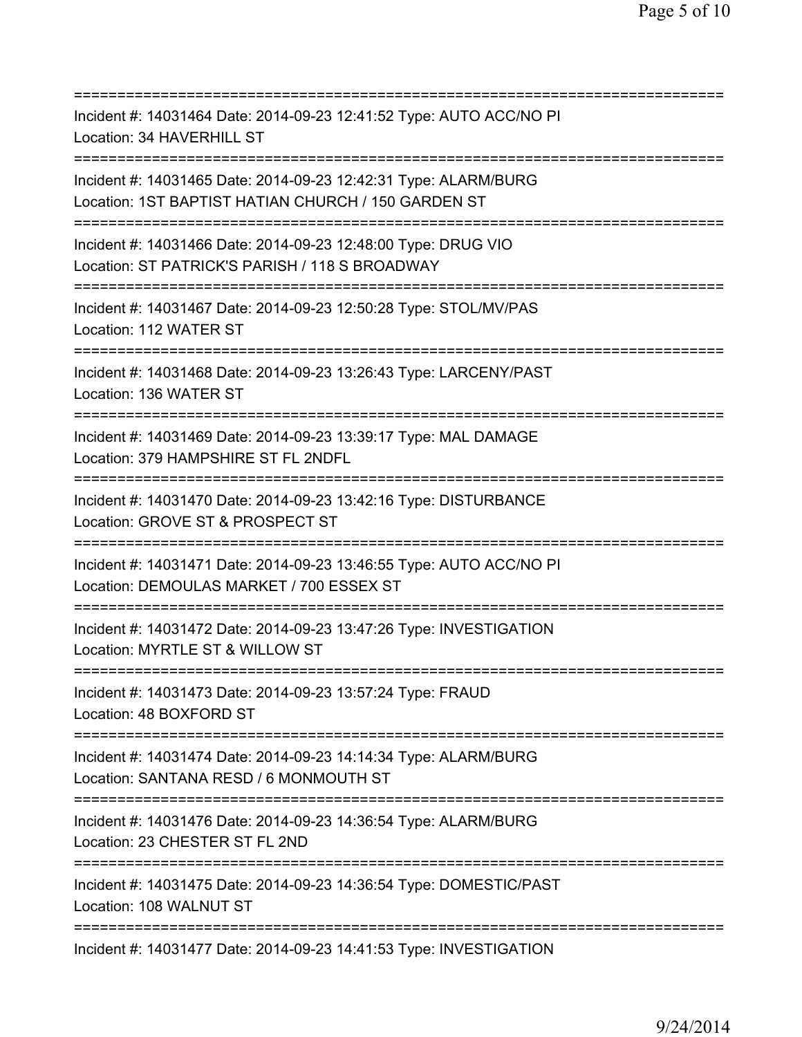| Incident #: 14031464 Date: 2014-09-23 12:41:52 Type: AUTO ACC/NO PI<br>Location: 34 HAVERHILL ST                                                    |
|-----------------------------------------------------------------------------------------------------------------------------------------------------|
| Incident #: 14031465 Date: 2014-09-23 12:42:31 Type: ALARM/BURG<br>Location: 1ST BAPTIST HATIAN CHURCH / 150 GARDEN ST                              |
| Incident #: 14031466 Date: 2014-09-23 12:48:00 Type: DRUG VIO<br>Location: ST PATRICK'S PARISH / 118 S BROADWAY                                     |
| Incident #: 14031467 Date: 2014-09-23 12:50:28 Type: STOL/MV/PAS<br>Location: 112 WATER ST                                                          |
| Incident #: 14031468 Date: 2014-09-23 13:26:43 Type: LARCENY/PAST<br>Location: 136 WATER ST                                                         |
| Incident #: 14031469 Date: 2014-09-23 13:39:17 Type: MAL DAMAGE<br>Location: 379 HAMPSHIRE ST FL 2NDFL<br>=====================================     |
| Incident #: 14031470 Date: 2014-09-23 13:42:16 Type: DISTURBANCE<br>Location: GROVE ST & PROSPECT ST                                                |
| Incident #: 14031471 Date: 2014-09-23 13:46:55 Type: AUTO ACC/NO PI<br>Location: DEMOULAS MARKET / 700 ESSEX ST                                     |
| Incident #: 14031472 Date: 2014-09-23 13:47:26 Type: INVESTIGATION<br>Location: MYRTLE ST & WILLOW ST                                               |
| Incident #: 14031473 Date: 2014-09-23 13:57:24 Type: FRAUD<br>Location: 48 BOXFORD ST                                                               |
| Incident #: 14031474 Date: 2014-09-23 14:14:34 Type: ALARM/BURG<br>Location: SANTANA RESD / 6 MONMOUTH ST<br>====================================== |
| Incident #: 14031476 Date: 2014-09-23 14:36:54 Type: ALARM/BURG<br>Location: 23 CHESTER ST FL 2ND                                                   |
| =========================<br>Incident #: 14031475 Date: 2014-09-23 14:36:54 Type: DOMESTIC/PAST<br>Location: 108 WALNUT ST                          |
| Incident #: 14031477 Date: 2014-09-23 14:41:53 Type: INVESTIGATION                                                                                  |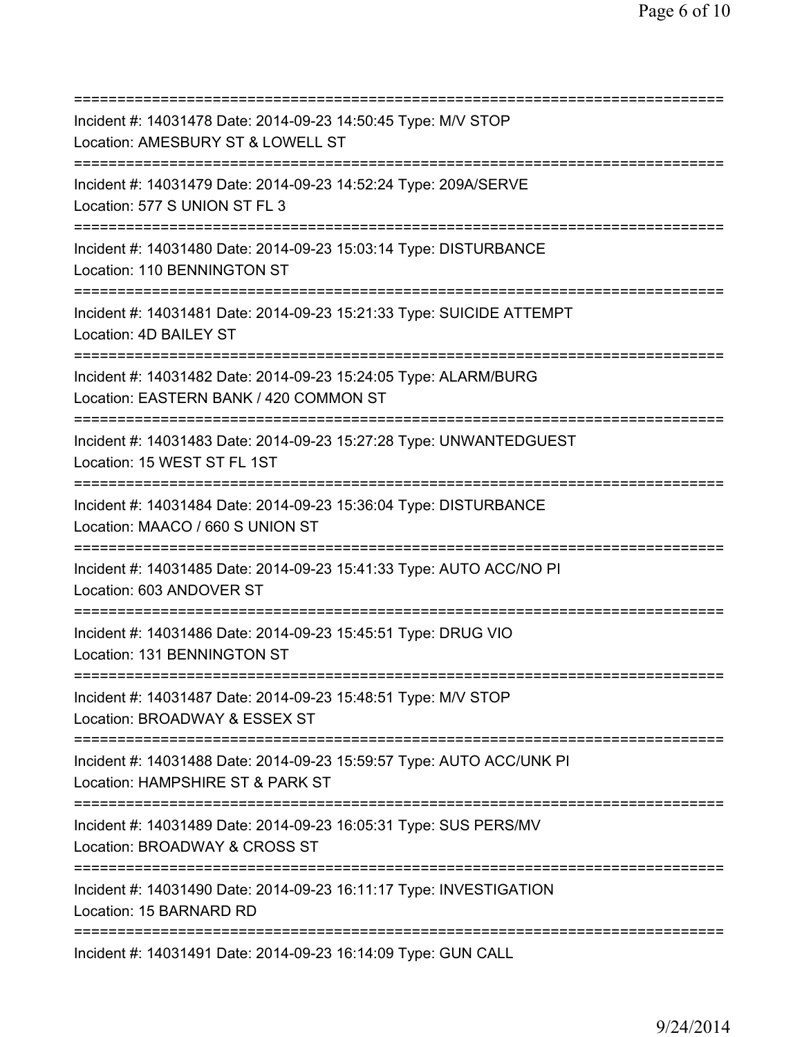=========================================================================== Incident #: 14031478 Date: 2014-09-23 14:50:45 Type: M/V STOP Location: AMESBURY ST & LOWELL ST =========================================================================== Incident #: 14031479 Date: 2014-09-23 14:52:24 Type: 209A/SERVE Location: 577 S UNION ST FL 3 =========================================================================== Incident #: 14031480 Date: 2014-09-23 15:03:14 Type: DISTURBANCE Location: 110 BENNINGTON ST =========================================================================== Incident #: 14031481 Date: 2014-09-23 15:21:33 Type: SUICIDE ATTEMPT Location: 4D BAILEY ST =========================================================================== Incident #: 14031482 Date: 2014-09-23 15:24:05 Type: ALARM/BURG Location: EASTERN BANK / 420 COMMON ST =========================================================================== Incident #: 14031483 Date: 2014-09-23 15:27:28 Type: UNWANTEDGUEST Location: 15 WEST ST FL 1ST =========================================================================== Incident #: 14031484 Date: 2014-09-23 15:36:04 Type: DISTURBANCE Location: MAACO / 660 S UNION ST =========================================================================== Incident #: 14031485 Date: 2014-09-23 15:41:33 Type: AUTO ACC/NO PI Location: 603 ANDOVER ST =========================================================================== Incident #: 14031486 Date: 2014-09-23 15:45:51 Type: DRUG VIO Location: 131 BENNINGTON ST =========================================================================== Incident #: 14031487 Date: 2014-09-23 15:48:51 Type: M/V STOP Location: BROADWAY & ESSEX ST =========================================================================== Incident #: 14031488 Date: 2014-09-23 15:59:57 Type: AUTO ACC/UNK PI Location: HAMPSHIRE ST & PARK ST =========================================================================== Incident #: 14031489 Date: 2014-09-23 16:05:31 Type: SUS PERS/MV Location: BROADWAY & CROSS ST =========================================================================== Incident #: 14031490 Date: 2014-09-23 16:11:17 Type: INVESTIGATION Location: 15 BARNARD RD =========================================================================== Incident #: 14031491 Date: 2014-09-23 16:14:09 Type: GUN CALL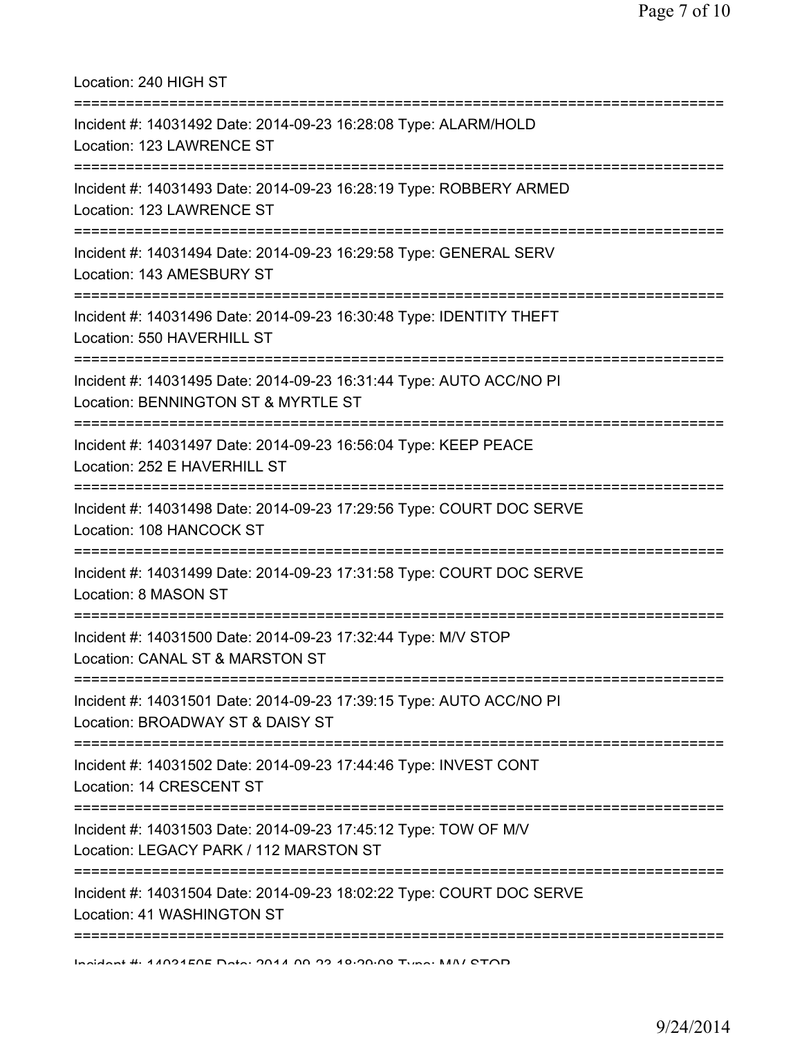Location: 240 HIGH ST =========================================================================== Incident #: 14031492 Date: 2014-09-23 16:28:08 Type: ALARM/HOLD Location: 123 LAWRENCE ST =========================================================================== Incident #: 14031493 Date: 2014-09-23 16:28:19 Type: ROBBERY ARMED Location: 123 LAWRENCE ST =========================================================================== Incident #: 14031494 Date: 2014-09-23 16:29:58 Type: GENERAL SERV Location: 143 AMESBURY ST =========================================================================== Incident #: 14031496 Date: 2014-09-23 16:30:48 Type: IDENTITY THEFT Location: 550 HAVERHILL ST =========================================================================== Incident #: 14031495 Date: 2014-09-23 16:31:44 Type: AUTO ACC/NO PI Location: BENNINGTON ST & MYRTLE ST =========================================================================== Incident #: 14031497 Date: 2014-09-23 16:56:04 Type: KEEP PEACE Location: 252 E HAVERHILL ST =========================================================================== Incident #: 14031498 Date: 2014-09-23 17:29:56 Type: COURT DOC SERVE Location: 108 HANCOCK ST =========================================================================== Incident #: 14031499 Date: 2014-09-23 17:31:58 Type: COURT DOC SERVE Location: 8 MASON ST =========================================================================== Incident #: 14031500 Date: 2014-09-23 17:32:44 Type: M/V STOP Location: CANAL ST & MARSTON ST =========================================================================== Incident #: 14031501 Date: 2014-09-23 17:39:15 Type: AUTO ACC/NO PI Location: BROADWAY ST & DAISY ST =========================================================================== Incident #: 14031502 Date: 2014-09-23 17:44:46 Type: INVEST CONT Location: 14 CRESCENT ST =========================================================================== Incident #: 14031503 Date: 2014-09-23 17:45:12 Type: TOW OF M/V Location: LEGACY PARK / 112 MARSTON ST =========================================================================== Incident #: 14031504 Date: 2014-09-23 18:02:22 Type: COURT DOC SERVE Location: 41 WASHINGTON ST ===========================================================================

Incident #: 14031505 Date: 2014 09 23 18:29:08 Type: M/V STOP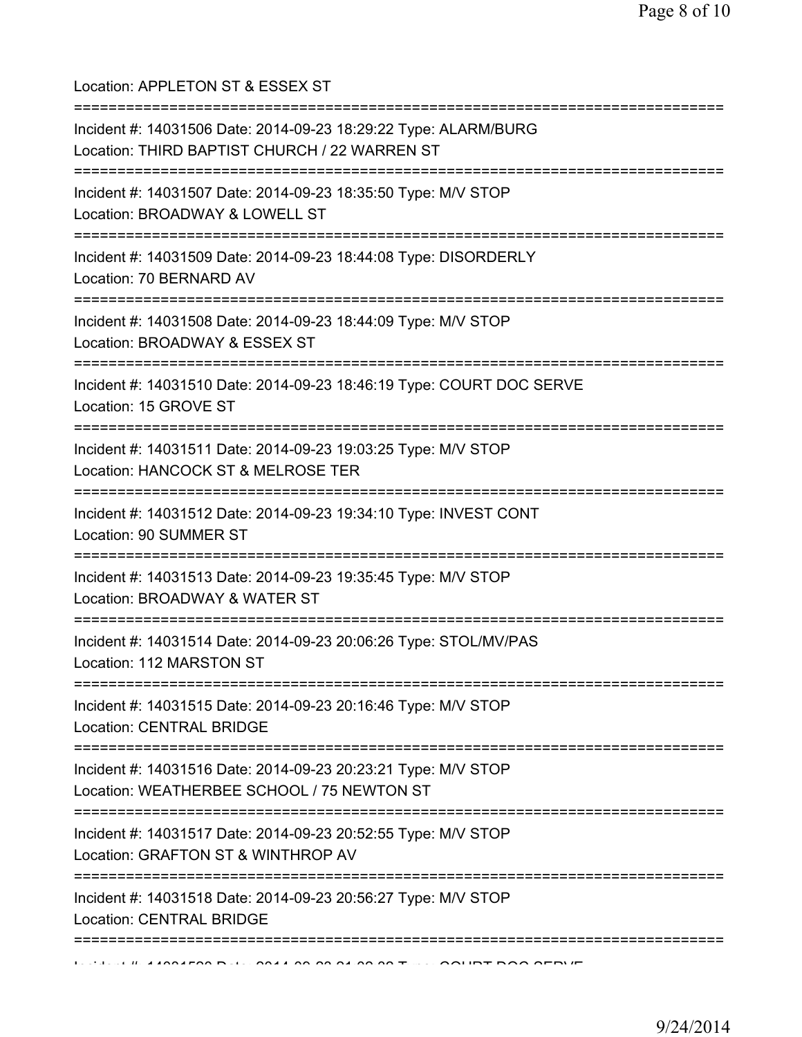Location: APPLETON ST & ESSEX ST =========================================================================== Incident #: 14031506 Date: 2014-09-23 18:29:22 Type: ALARM/BURG Location: THIRD BAPTIST CHURCH / 22 WARREN ST =========================================================================== Incident #: 14031507 Date: 2014-09-23 18:35:50 Type: M/V STOP Location: BROADWAY & LOWELL ST =========================================================================== Incident #: 14031509 Date: 2014-09-23 18:44:08 Type: DISORDERLY Location: 70 BERNARD AV =========================================================================== Incident #: 14031508 Date: 2014-09-23 18:44:09 Type: M/V STOP Location: BROADWAY & ESSEX ST =========================================================================== Incident #: 14031510 Date: 2014-09-23 18:46:19 Type: COURT DOC SERVE Location: 15 GROVE ST =========================================================================== Incident #: 14031511 Date: 2014-09-23 19:03:25 Type: M/V STOP Location: HANCOCK ST & MELROSE TER =========================================================================== Incident #: 14031512 Date: 2014-09-23 19:34:10 Type: INVEST CONT Location: 90 SUMMER ST =========================================================================== Incident #: 14031513 Date: 2014-09-23 19:35:45 Type: M/V STOP Location: BROADWAY & WATER ST =========================================================================== Incident #: 14031514 Date: 2014-09-23 20:06:26 Type: STOL/MV/PAS Location: 112 MARSTON ST =========================================================================== Incident #: 14031515 Date: 2014-09-23 20:16:46 Type: M/V STOP Location: CENTRAL BRIDGE =========================================================================== Incident #: 14031516 Date: 2014-09-23 20:23:21 Type: M/V STOP Location: WEATHERBEE SCHOOL / 75 NEWTON ST =========================================================================== Incident #: 14031517 Date: 2014-09-23 20:52:55 Type: M/V STOP Location: GRAFTON ST & WINTHROP AV =========================================================================== Incident #: 14031518 Date: 2014-09-23 20:56:27 Type: M/V STOP Location: CENTRAL BRIDGE ===========================================================================  $11.41001500$  Dete $.2011.00$  20.02.24.29 23 Type: COURT DOC SERVE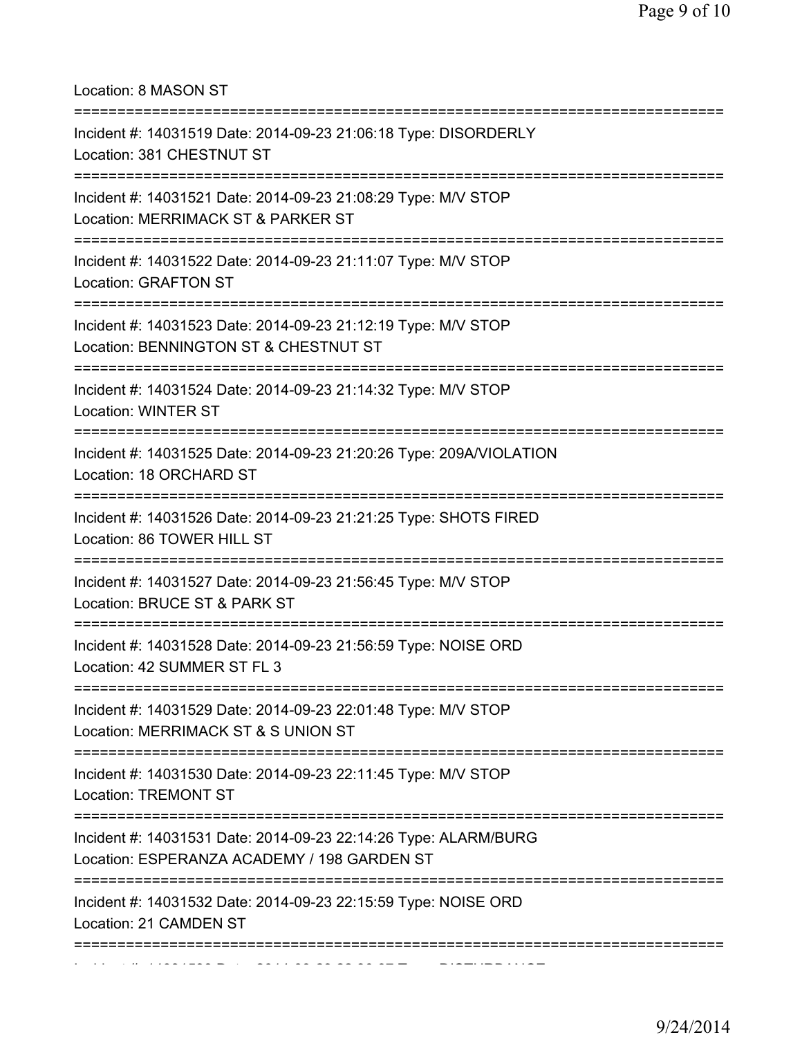Location: 8 MASON ST =========================================================================== Incident #: 14031519 Date: 2014-09-23 21:06:18 Type: DISORDERLY Location: 381 CHESTNUT ST =========================================================================== Incident #: 14031521 Date: 2014-09-23 21:08:29 Type: M/V STOP Location: MERRIMACK ST & PARKER ST =========================================================================== Incident #: 14031522 Date: 2014-09-23 21:11:07 Type: M/V STOP Location: GRAFTON ST =========================================================================== Incident #: 14031523 Date: 2014-09-23 21:12:19 Type: M/V STOP Location: BENNINGTON ST & CHESTNUT ST =========================================================================== Incident #: 14031524 Date: 2014-09-23 21:14:32 Type: M/V STOP Location: WINTER ST =========================================================================== Incident #: 14031525 Date: 2014-09-23 21:20:26 Type: 209A/VIOLATION Location: 18 ORCHARD ST =========================================================================== Incident #: 14031526 Date: 2014-09-23 21:21:25 Type: SHOTS FIRED Location: 86 TOWER HILL ST =========================================================================== Incident #: 14031527 Date: 2014-09-23 21:56:45 Type: M/V STOP Location: BRUCE ST & PARK ST =========================================================================== Incident #: 14031528 Date: 2014-09-23 21:56:59 Type: NOISE ORD Location: 42 SUMMER ST FL 3 =========================================================================== Incident #: 14031529 Date: 2014-09-23 22:01:48 Type: M/V STOP Location: MERRIMACK ST & S UNION ST =========================================================================== Incident #: 14031530 Date: 2014-09-23 22:11:45 Type: M/V STOP Location: TREMONT ST =========================================================================== Incident #: 14031531 Date: 2014-09-23 22:14:26 Type: ALARM/BURG Location: ESPERANZA ACADEMY / 198 GARDEN ST =========================================================================== Incident #: 14031532 Date: 2014-09-23 22:15:59 Type: NOISE ORD Location: 21 CAMDEN ST =========================================================================== Incident #: 14031533 Date: 2014 09 23 22:30:07 Type: DISTURBANCE